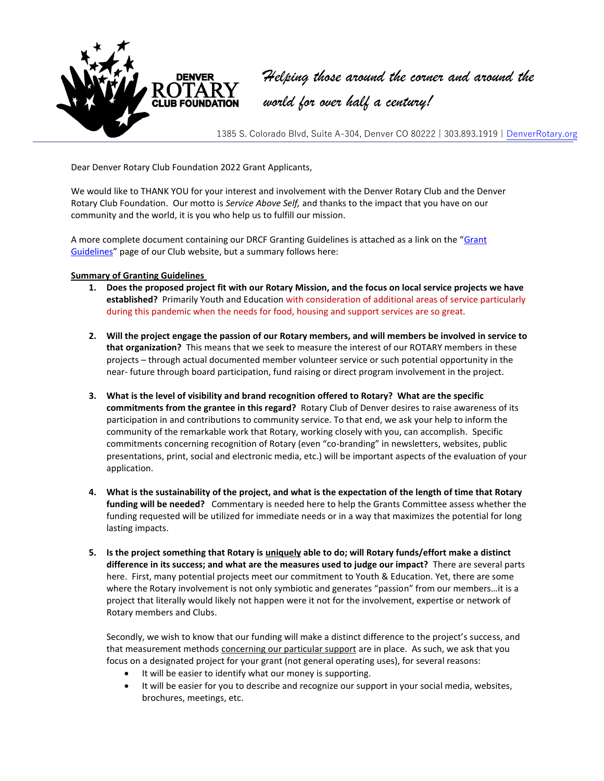

*Helping those around the corner and around the world for over half a century!*

1385 S. Colorado Blvd, Suite A-304, Denver CO 80222 | 303.893.1919 | [DenverRotary.org](file://///rserver/Rotary%20Office%20Files/Letters%20Written%20by%20RCD/2016%20Letterhead/DenverRotary.org)

Dear Denver Rotary Club Foundation 2022 Grant Applicants,

We would like to THANK YOU for your interest and involvement with the Denver Rotary Club and the Denver Rotary Club Foundation. Our motto is *Service Above Self,* and thanks to the impact that you have on our community and the world, it is you who help us to fulfill our mission.

A more complete document containing our DRCF Granting Guidelines is attached as a link on the "Grant [Guidelines](http://www.denverrotary.org/give/denver-rotary-club-foundation/grant-guidelines/)" page of our Club website, but a summary follows here:

## **Summary of Granting Guidelines**

- **1. Does the proposed project fit with our Rotary Mission, and the focus on local service projects we have established?** Primarily Youth and Education with consideration of additional areas of service particularly during this pandemic when the needs for food, housing and support services are so great.
- **2. Will the project engage the passion of our Rotary members, and will members be involved in service to that organization?** This means that we seek to measure the interest of our ROTARY members in these projects – through actual documented member volunteer service or such potential opportunity in the near- future through board participation, fund raising or direct program involvement in the project.
- **3. What is the level of visibility and brand recognition offered to Rotary? What are the specific commitments from the grantee in this regard?** Rotary Club of Denver desires to raise awareness of its participation in and contributions to community service. To that end, we ask your help to inform the community of the remarkable work that Rotary, working closely with you, can accomplish. Specific commitments concerning recognition of Rotary (even "co-branding" in newsletters, websites, public presentations, print, social and electronic media, etc.) will be important aspects of the evaluation of your application.
- **4. What is the sustainability of the project, and what is the expectation of the length of time that Rotary funding will be needed?** Commentary is needed here to help the Grants Committee assess whether the funding requested will be utilized for immediate needs or in a way that maximizes the potential for long lasting impacts.
- **5. Is the project something that Rotary is uniquely able to do; will Rotary funds/effort make a distinct difference in its success; and what are the measures used to judge our impact?** There are several parts here. First, many potential projects meet our commitment to Youth & Education. Yet, there are some where the Rotary involvement is not only symbiotic and generates "passion" from our members…it is a project that literally would likely not happen were it not for the involvement, expertise or network of Rotary members and Clubs.

Secondly, we wish to know that our funding will make a distinct difference to the project's success, and that measurement methods concerning our particular support are in place. As such, we ask that you focus on a designated project for your grant (not general operating uses), for several reasons:

- It will be easier to identify what our money is supporting.
- It will be easier for you to describe and recognize our support in your social media, websites, brochures, meetings, etc.